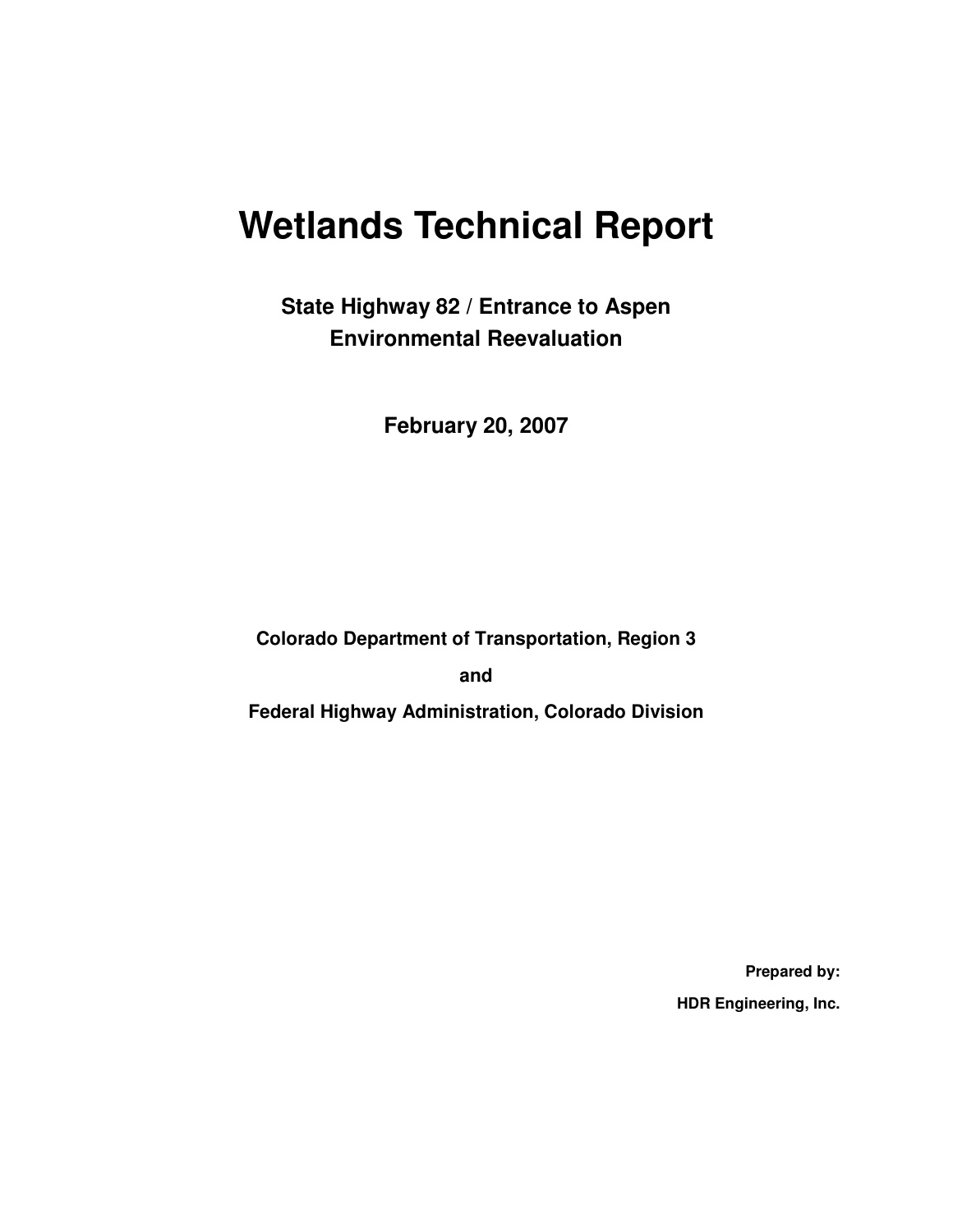# **Wetlands Technical Report**

**State Highway 82 / Entrance to Aspen Environmental Reevaluation** 

**February 20, 2007** 

**Colorado Department of Transportation, Region 3** 

**and** 

**Federal Highway Administration, Colorado Division** 

**Prepared by: HDR Engineering, Inc.**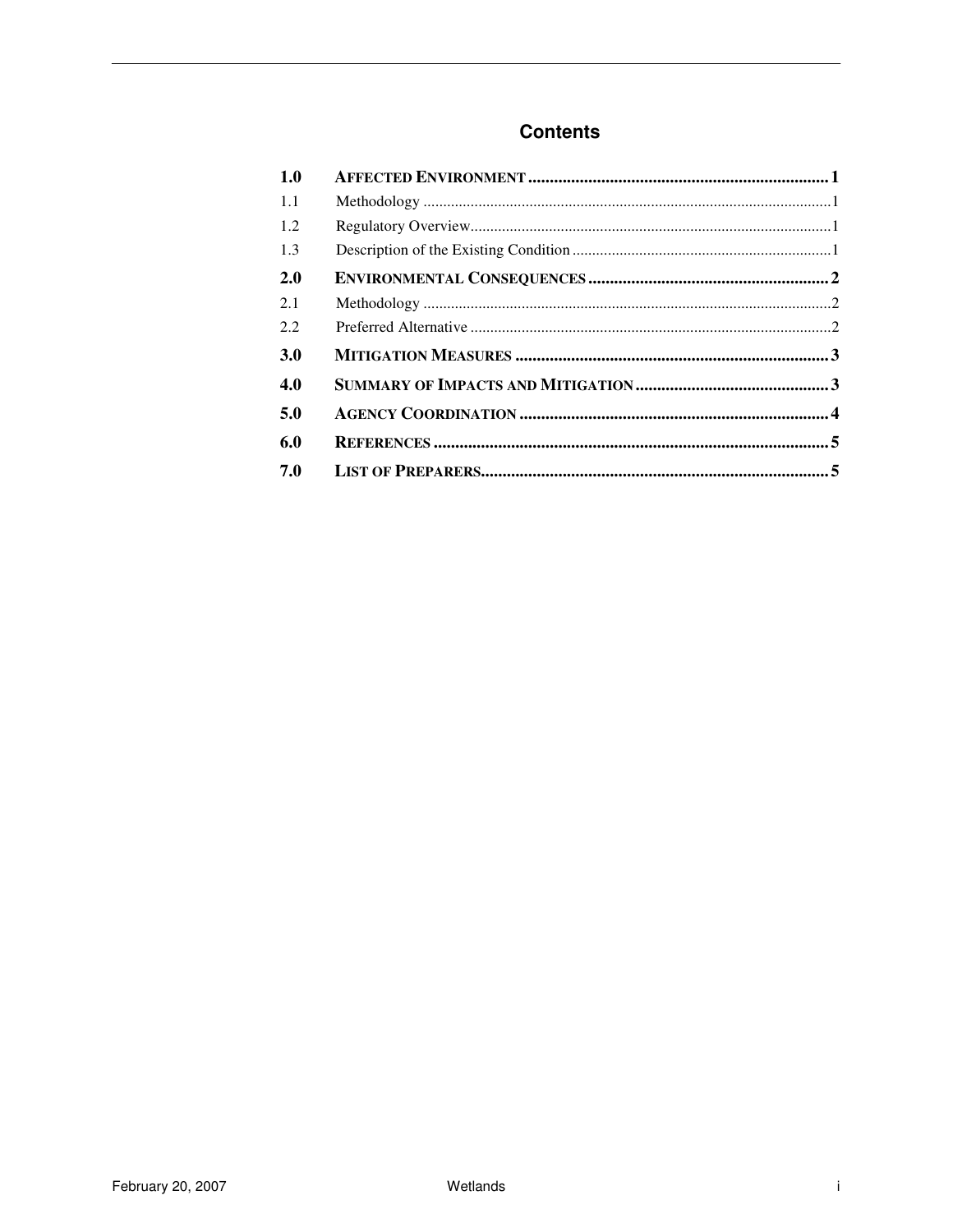#### **Contents**

| 1.0        |  |
|------------|--|
| 1.1        |  |
| 1.2        |  |
| 1.3        |  |
| <b>2.0</b> |  |
| 2.1        |  |
| 2.2        |  |
| <b>3.0</b> |  |
| 4.0        |  |
| 5.0        |  |
| 6.0        |  |
| 7.0        |  |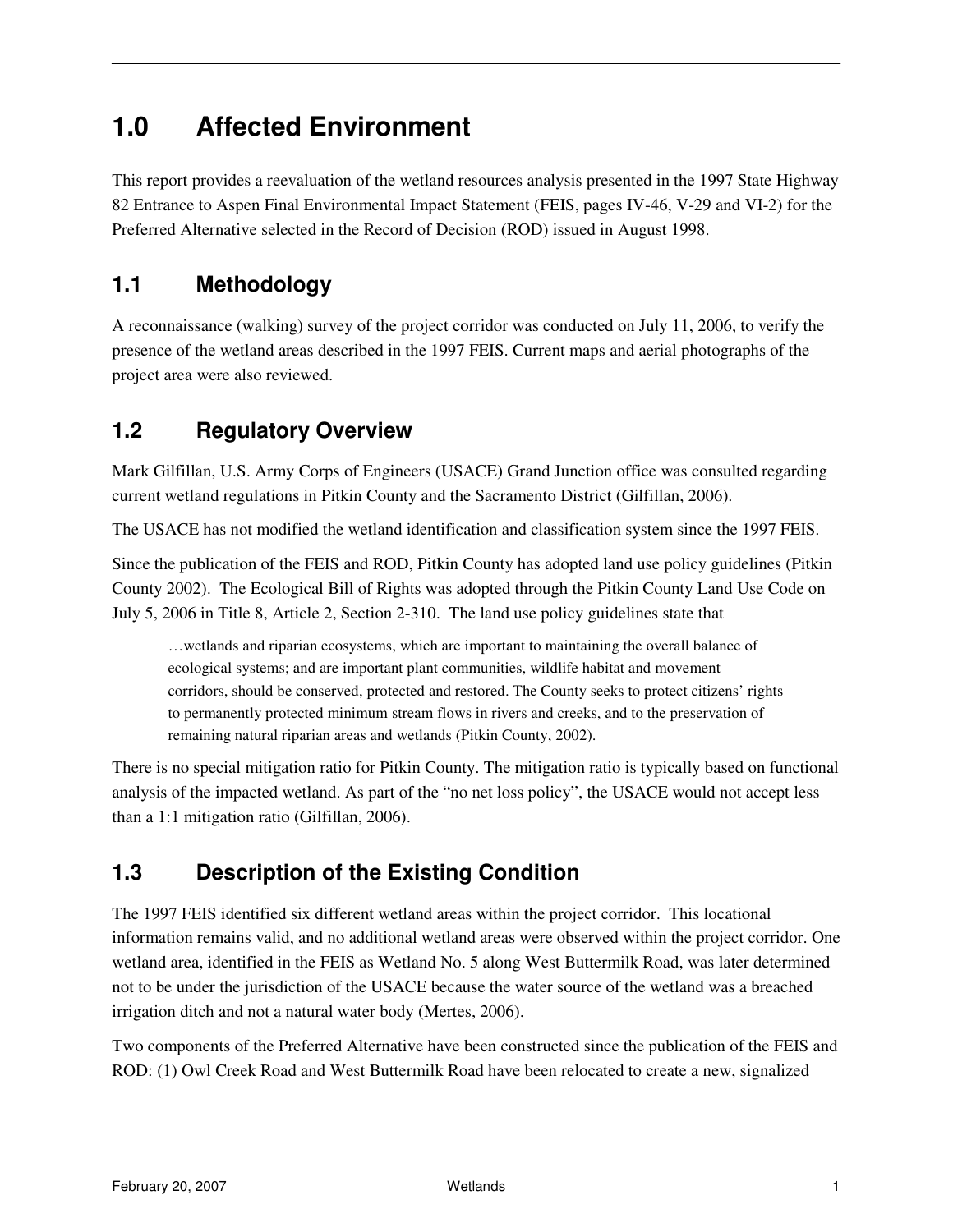### **1.0 Affected Environment**

This report provides a reevaluation of the wetland resources analysis presented in the 1997 State Highway 82 Entrance to Aspen Final Environmental Impact Statement (FEIS, pages IV-46, V-29 and VI-2) for the Preferred Alternative selected in the Record of Decision (ROD) issued in August 1998.

#### **1.1 Methodology**

A reconnaissance (walking) survey of the project corridor was conducted on July 11, 2006, to verify the presence of the wetland areas described in the 1997 FEIS. Current maps and aerial photographs of the project area were also reviewed.

#### **1.2 Regulatory Overview**

Mark Gilfillan, U.S. Army Corps of Engineers (USACE) Grand Junction office was consulted regarding current wetland regulations in Pitkin County and the Sacramento District (Gilfillan, 2006).

The USACE has not modified the wetland identification and classification system since the 1997 FEIS.

Since the publication of the FEIS and ROD, Pitkin County has adopted land use policy guidelines (Pitkin County 2002). The Ecological Bill of Rights was adopted through the Pitkin County Land Use Code on July 5, 2006 in Title 8, Article 2, Section 2-310. The land use policy guidelines state that

…wetlands and riparian ecosystems, which are important to maintaining the overall balance of ecological systems; and are important plant communities, wildlife habitat and movement corridors, should be conserved, protected and restored. The County seeks to protect citizens' rights to permanently protected minimum stream flows in rivers and creeks, and to the preservation of remaining natural riparian areas and wetlands (Pitkin County, 2002).

There is no special mitigation ratio for Pitkin County. The mitigation ratio is typically based on functional analysis of the impacted wetland. As part of the "no net loss policy", the USACE would not accept less than a 1:1 mitigation ratio (Gilfillan, 2006).

#### **1.3 Description of the Existing Condition**

The 1997 FEIS identified six different wetland areas within the project corridor. This locational information remains valid, and no additional wetland areas were observed within the project corridor. One wetland area, identified in the FEIS as Wetland No. 5 along West Buttermilk Road, was later determined not to be under the jurisdiction of the USACE because the water source of the wetland was a breached irrigation ditch and not a natural water body (Mertes, 2006).

Two components of the Preferred Alternative have been constructed since the publication of the FEIS and ROD: (1) Owl Creek Road and West Buttermilk Road have been relocated to create a new, signalized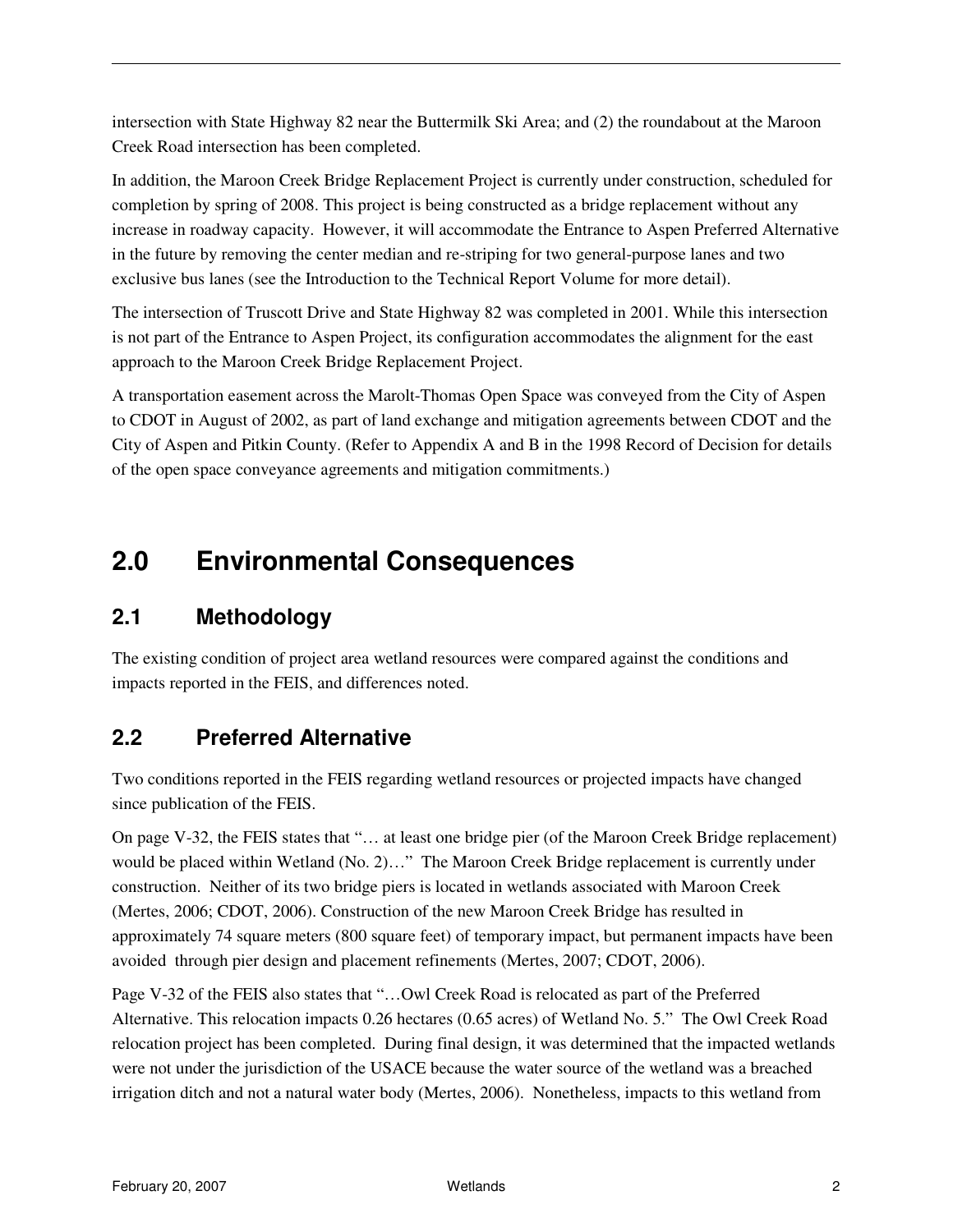intersection with State Highway 82 near the Buttermilk Ski Area; and (2) the roundabout at the Maroon Creek Road intersection has been completed.

In addition, the Maroon Creek Bridge Replacement Project is currently under construction, scheduled for completion by spring of 2008. This project is being constructed as a bridge replacement without any increase in roadway capacity. However, it will accommodate the Entrance to Aspen Preferred Alternative in the future by removing the center median and re-striping for two general-purpose lanes and two exclusive bus lanes (see the Introduction to the Technical Report Volume for more detail).

The intersection of Truscott Drive and State Highway 82 was completed in 2001. While this intersection is not part of the Entrance to Aspen Project, its configuration accommodates the alignment for the east approach to the Maroon Creek Bridge Replacement Project.

A transportation easement across the Marolt-Thomas Open Space was conveyed from the City of Aspen to CDOT in August of 2002, as part of land exchange and mitigation agreements between CDOT and the City of Aspen and Pitkin County. (Refer to Appendix A and B in the 1998 Record of Decision for details of the open space conveyance agreements and mitigation commitments.)

# **2.0 Environmental Consequences**

#### **2.1 Methodology**

The existing condition of project area wetland resources were compared against the conditions and impacts reported in the FEIS, and differences noted.

#### **2.2 Preferred Alternative**

Two conditions reported in the FEIS regarding wetland resources or projected impacts have changed since publication of the FEIS.

On page V-32, the FEIS states that "… at least one bridge pier (of the Maroon Creek Bridge replacement) would be placed within Wetland (No. 2)…" The Maroon Creek Bridge replacement is currently under construction. Neither of its two bridge piers is located in wetlands associated with Maroon Creek (Mertes, 2006; CDOT, 2006). Construction of the new Maroon Creek Bridge has resulted in approximately 74 square meters (800 square feet) of temporary impact, but permanent impacts have been avoided through pier design and placement refinements (Mertes, 2007; CDOT, 2006).

Page V-32 of the FEIS also states that "…Owl Creek Road is relocated as part of the Preferred Alternative. This relocation impacts 0.26 hectares (0.65 acres) of Wetland No. 5." The Owl Creek Road relocation project has been completed. During final design, it was determined that the impacted wetlands were not under the jurisdiction of the USACE because the water source of the wetland was a breached irrigation ditch and not a natural water body (Mertes, 2006). Nonetheless, impacts to this wetland from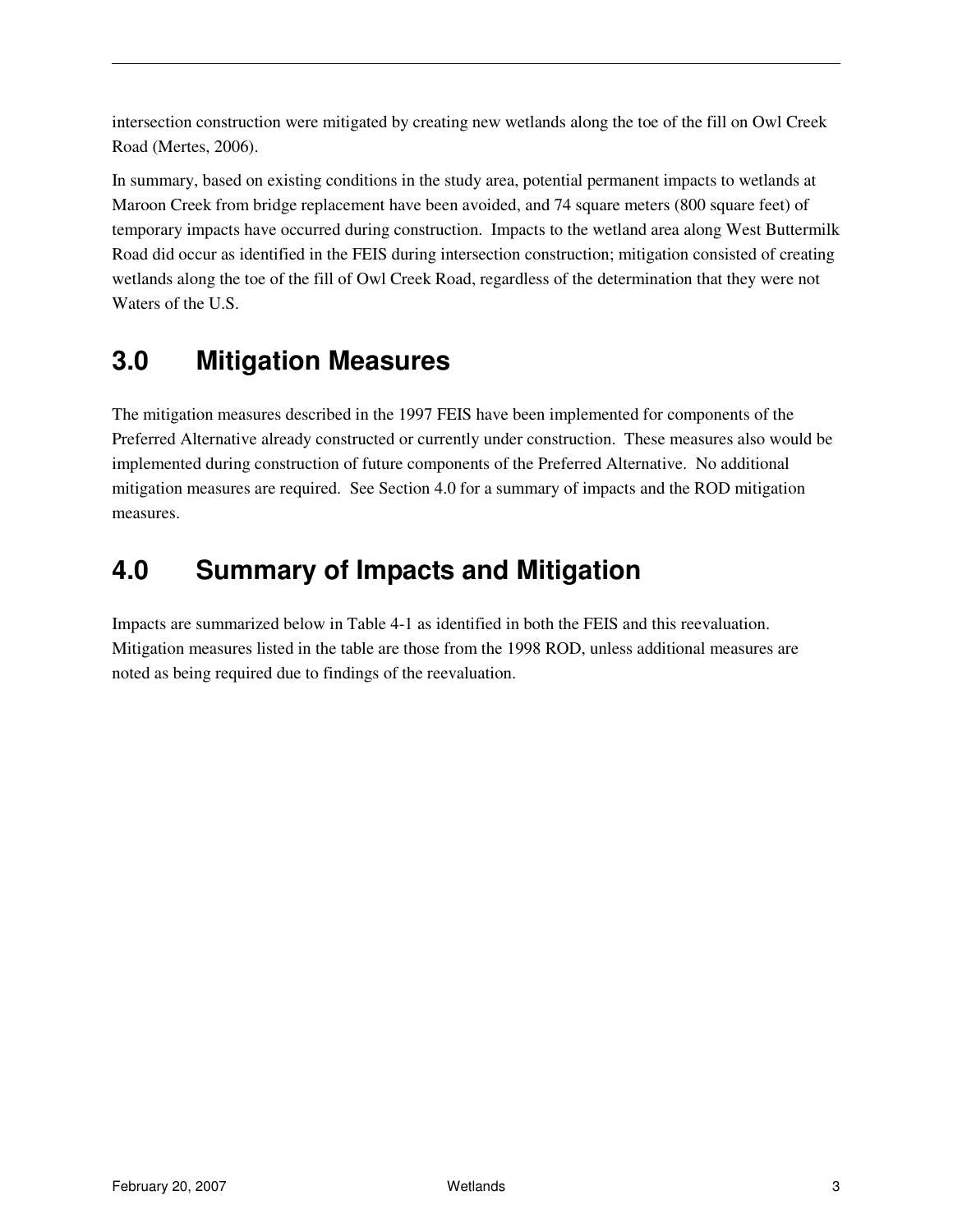intersection construction were mitigated by creating new wetlands along the toe of the fill on Owl Creek Road (Mertes, 2006).

In summary, based on existing conditions in the study area, potential permanent impacts to wetlands at Maroon Creek from bridge replacement have been avoided, and 74 square meters (800 square feet) of temporary impacts have occurred during construction. Impacts to the wetland area along West Buttermilk Road did occur as identified in the FEIS during intersection construction; mitigation consisted of creating wetlands along the toe of the fill of Owl Creek Road, regardless of the determination that they were not Waters of the U.S.

# **3.0 Mitigation Measures**

The mitigation measures described in the 1997 FEIS have been implemented for components of the Preferred Alternative already constructed or currently under construction. These measures also would be implemented during construction of future components of the Preferred Alternative. No additional mitigation measures are required. See Section 4.0 for a summary of impacts and the ROD mitigation measures.

# **4.0 Summary of Impacts and Mitigation**

Impacts are summarized below in Table 4-1 as identified in both the FEIS and this reevaluation. Mitigation measures listed in the table are those from the 1998 ROD, unless additional measures are noted as being required due to findings of the reevaluation.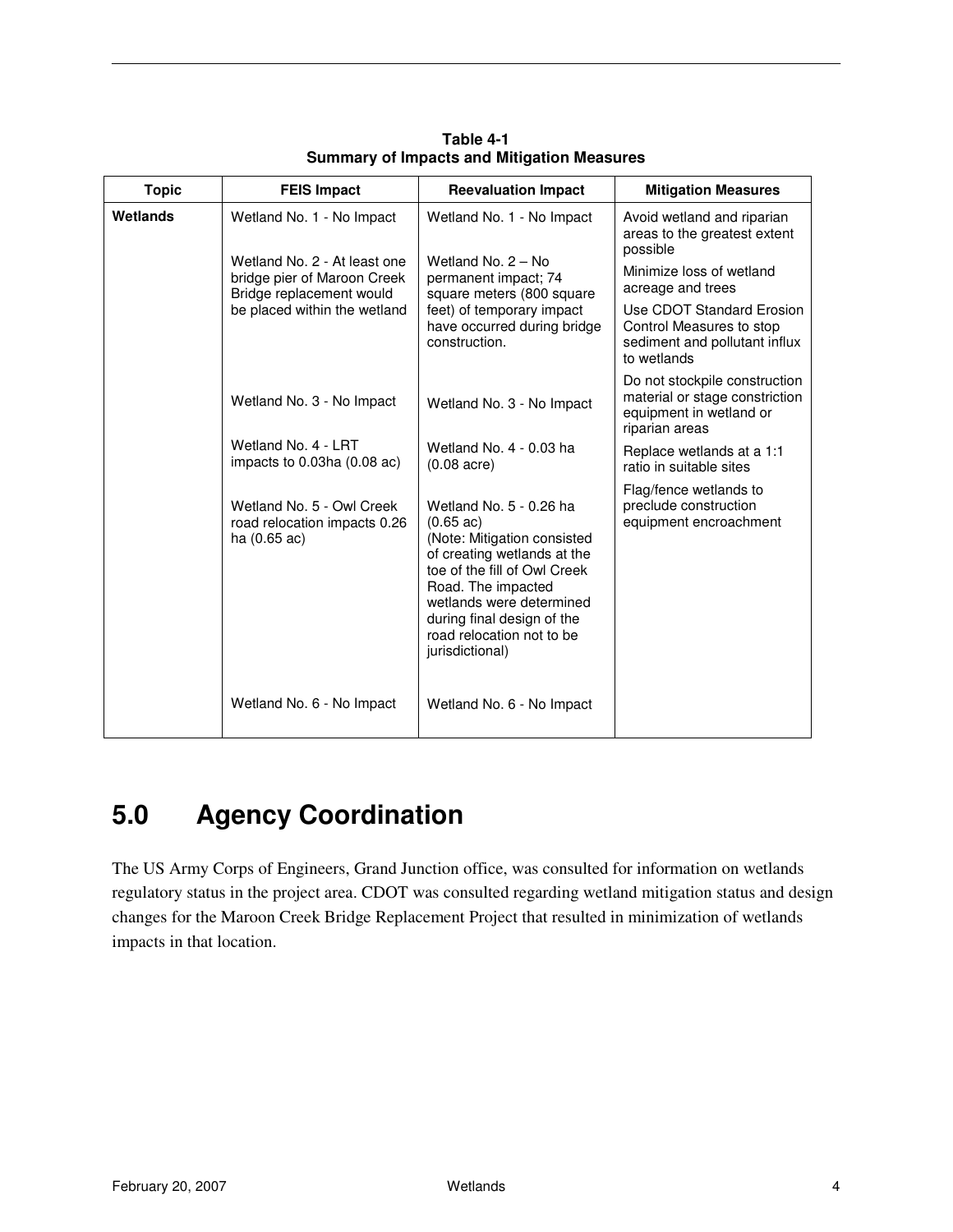| <b>Topic</b> | <b>FEIS Impact</b>                                                                                                                                   | <b>Reevaluation Impact</b>                                                                                                                                                                                                                                                   | <b>Mitigation Measures</b>                                                                                                                                                                                        |
|--------------|------------------------------------------------------------------------------------------------------------------------------------------------------|------------------------------------------------------------------------------------------------------------------------------------------------------------------------------------------------------------------------------------------------------------------------------|-------------------------------------------------------------------------------------------------------------------------------------------------------------------------------------------------------------------|
| Wetlands     | Wetland No. 1 - No Impact<br>Wetland No. 2 - At least one<br>bridge pier of Maroon Creek<br>Bridge replacement would<br>be placed within the wetland | Wetland No. 1 - No Impact<br>Wetland No. 2 - No<br>permanent impact; 74<br>square meters (800 square<br>feet) of temporary impact<br>have occurred during bridge<br>construction.                                                                                            | Avoid wetland and riparian<br>areas to the greatest extent<br>possible<br>Minimize loss of wetland<br>acreage and trees<br>Use CDOT Standard Erosion<br>Control Measures to stop<br>sediment and pollutant influx |
|              |                                                                                                                                                      |                                                                                                                                                                                                                                                                              | to wetlands                                                                                                                                                                                                       |
|              | Wetland No. 3 - No Impact                                                                                                                            | Wetland No. 3 - No Impact                                                                                                                                                                                                                                                    | Do not stockpile construction<br>material or stage constriction<br>equipment in wetland or<br>riparian areas                                                                                                      |
|              | Wetland No. 4 - LRT<br>impacts to 0.03ha (0.08 ac)                                                                                                   | Wetland No. 4 - 0.03 ha<br>$(0.08$ acre)                                                                                                                                                                                                                                     | Replace wetlands at a 1:1<br>ratio in suitable sites                                                                                                                                                              |
|              | Wetland No. 5 - Owl Creek<br>road relocation impacts 0.26<br>ha $(0.65$ ac)                                                                          | Wetland No. 5 - 0.26 ha<br>$(0.65 \text{ ac})$<br>(Note: Mitigation consisted<br>of creating wetlands at the<br>toe of the fill of Owl Creek<br>Road. The impacted<br>wetlands were determined<br>during final design of the<br>road relocation not to be<br>jurisdictional) | Flag/fence wetlands to<br>preclude construction<br>equipment encroachment                                                                                                                                         |
|              | Wetland No. 6 - No Impact                                                                                                                            | Wetland No. 6 - No Impact                                                                                                                                                                                                                                                    |                                                                                                                                                                                                                   |

**Table 4-1 Summary of Impacts and Mitigation Measures** 

## **5.0 Agency Coordination**

The US Army Corps of Engineers, Grand Junction office, was consulted for information on wetlands regulatory status in the project area. CDOT was consulted regarding wetland mitigation status and design changes for the Maroon Creek Bridge Replacement Project that resulted in minimization of wetlands impacts in that location.